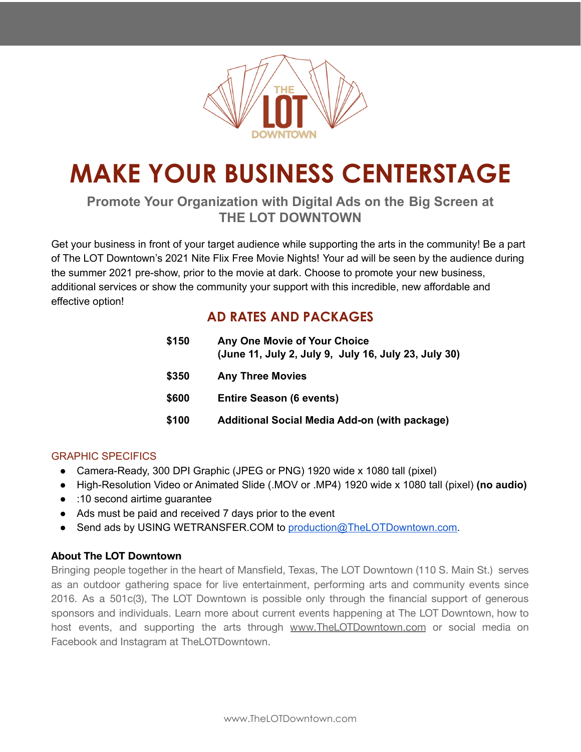

# **MAKE YOUR BUSINESS CENTERSTAGE**

### **Promote Your Organization with Digital Ads on the Big Screen at THE LOT DOWNTOWN**

Get your business in front of your target audience while supporting the arts in the community! Be a part of The LOT Downtown's 2021 Nite Flix Free Movie Nights! Your ad will be seen by the audience during the summer 2021 pre-show, prior to the movie at dark. Choose to promote your new business, additional services or show the community your support with this incredible, new affordable and effective option!

## **AD RATES AND PACKAGES**

| Any One Movie of Your Choice<br>(June 11, July 2, July 9, July 16, July 23, July 30) |
|--------------------------------------------------------------------------------------|
| <b>Any Three Movies</b>                                                              |
| <b>Entire Season (6 events)</b>                                                      |
| Additional Social Media Add-on (with package)                                        |
|                                                                                      |

#### GRAPHIC SPECIFICS

- Camera-Ready, 300 DPI Graphic (JPEG or PNG) 1920 wide x 1080 tall (pixel)
- High-Resolution Video or Animated Slide (.MOV or .MP4) 1920 wide x 1080 tall (pixel) **(no audio)**
- :10 second airtime guarantee
- Ads must be paid and received 7 days prior to the event
- Send ads by USING WETRANSFER.COM to [production@TheLOTDowntown.com.](mailto:production@TheLOTDowntown.com)

#### **About The LOT Downtown**

Bringing people together in the heart of Mansfield, Texas, The LOT Downtown (110 S. Main St.) serves as an outdoor gathering space for live entertainment, performing arts and community events since 2016. As a 501c(3), The LOT Downtown is possible only through the financial support of generous sponsors and individuals. Learn more about current events happening at The LOT Downtown, how to host events, and supporting the arts through [www.TheLOTDowntown.com](http://www.thelotdowntown.com) or social media on Facebook and Instagram at TheLOTDowntown.